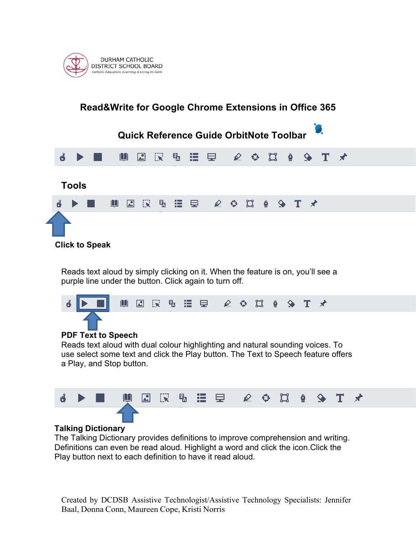

### **Read&Write for Google Chrome Extensions in Office 365 Quick Reference Guide OrbitNote Toolbar**  $\mathbb{R}$  $F_{\rm A}$ 逼 厚 u  $\star$  $\mathbf{r}$ M 図 ♦ T **Tools**  $\mathbf{H}$ 因 叹 喝 挂 曳  $\mathcal{L}$  $\mathfrak{a}$  $\bullet$  $\bullet$  $T \times$ € **Click to Speak**

Reads text aloud by simply clicking on it. When the feature is on, you'll see a purple line under the button. Click again to turn off.



Reads text aloud with dual colour highlighting and natural sounding voices. To use select some text and click the Play button. The Text to Speech feature offers a Play, and Stop button.



# **Talking Dictionary**

The Talking Dictionary provides definitions to improve comprehension and writing. Definitions can even be read aloud. Highlight a word and click the icon.Click the Play button next to each definition to have it read aloud.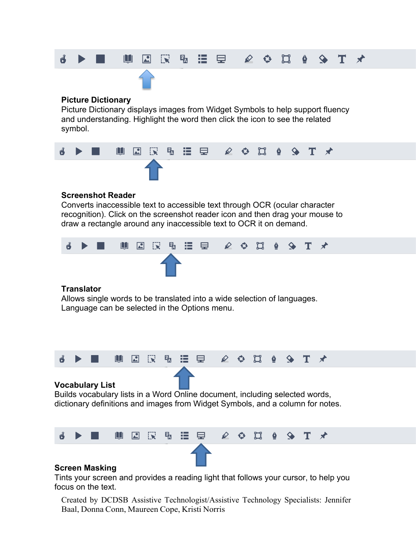

### **Picture Dictionary**

Picture Dictionary displays images from Widget Symbols to help support fluency and understanding. Highlight the word then click the icon to see the related symbol.



# **Screenshot Reader**

Converts inaccessible text to accessible text through OCR (ocular character recognition). Click on the screenshot reader icon and then drag your mouse to draw a rectangle around any inaccessible text to OCR it on demand.



## **Translator**

Allows single words to be translated into a wide selection of languages. Language can be selected in the Options menu.



## **Vocabulary List**

Builds vocabulary lists in a Word Online document, including selected words, dictionary definitions and images from Widget Symbols, and a column for notes.



## **Screen Masking**

Tints your screen and provides a reading light that follows your cursor, to help you focus on the text.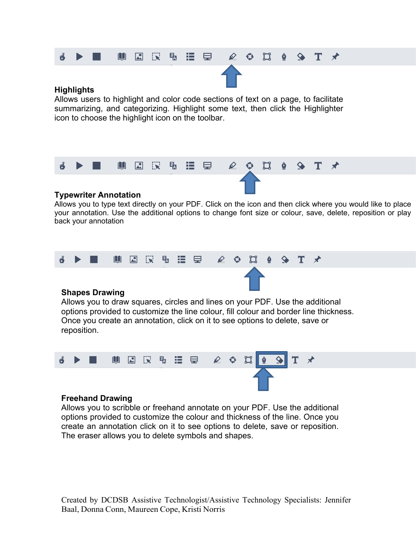#### rĴ UBR 弘 洼 厚 ✿ ជ T  $\rightarrow$  $\mathscr{D}$

# **Highlights**

Allows users to highlight and color code sections of text on a page, to facilitate summarizing, and categorizing. Highlight some text, then click the Highlighter icon to choose the highlight icon on the toolbar.



# **Typewriter Annotation**

Allows you to type text directly on your PDF. Click on the icon and then click where you would like to place your annotation. Use the additional options to change font size or colour, save, delete, reposition or play back your annotation



# **Shapes Drawing**

Allows you to draw squares, circles and lines on your PDF. Use the additional options provided to customize the line colour, fill colour and border line thickness. Once you create an annotation, click on it to see options to delete, save or reposition.



# **Freehand Drawing**

Allows you to scribble or freehand annotate on your PDF. Use the additional options provided to customize the colour and thickness of the line. Once you create an annotation click on it to see options to delete, save or reposition. The eraser allows you to delete symbols and shapes.